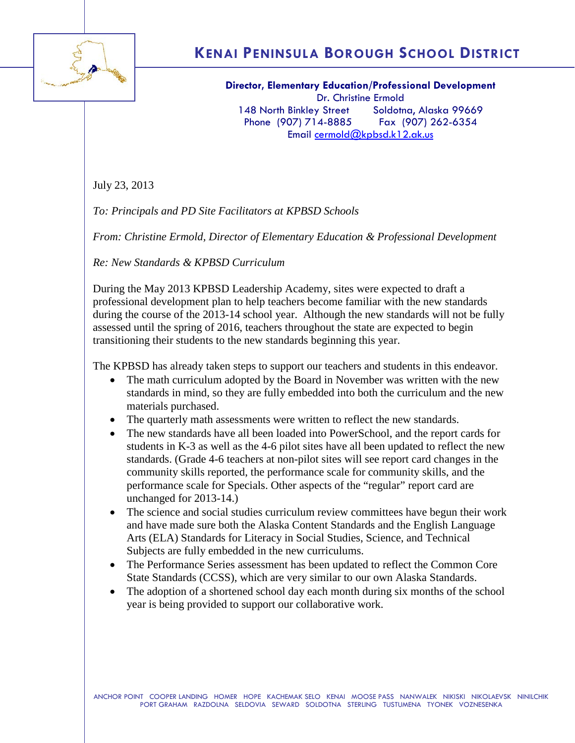

## **KENAI PENINSULA BOROUGH SCHOOL DISTRICT**

**Director, Elementary Education/Professional Development** Dr. Christine Ermold 148 North Binkley Street Soldotna, Alaska 99669 Phone (907) 714-8885 Fax (907) 262-6354 Email [cermold@kpbsd.k12.ak.us](mailto:cermold@kpbsd.k12.ak.us)

July 23, 2013

*To: Principals and PD Site Facilitators at KPBSD Schools*

*From: Christine Ermold, Director of Elementary Education & Professional Development*

*Re: New Standards & KPBSD Curriculum*

During the May 2013 KPBSD Leadership Academy, sites were expected to draft a professional development plan to help teachers become familiar with the new standards during the course of the 2013-14 school year. Although the new standards will not be fully assessed until the spring of 2016, teachers throughout the state are expected to begin transitioning their students to the new standards beginning this year.

The KPBSD has already taken steps to support our teachers and students in this endeavor.

- The math curriculum adopted by the Board in November was written with the new standards in mind, so they are fully embedded into both the curriculum and the new materials purchased.
- The quarterly math assessments were written to reflect the new standards.
- The new standards have all been loaded into PowerSchool, and the report cards for students in K-3 as well as the 4-6 pilot sites have all been updated to reflect the new standards. (Grade 4-6 teachers at non-pilot sites will see report card changes in the community skills reported, the performance scale for community skills, and the performance scale for Specials. Other aspects of the "regular" report card are unchanged for 2013-14.)
- The science and social studies curriculum review committees have begun their work and have made sure both the Alaska Content Standards and the English Language Arts (ELA) Standards for Literacy in Social Studies, Science, and Technical Subjects are fully embedded in the new curriculums.
- The Performance Series assessment has been updated to reflect the Common Core State Standards (CCSS), which are very similar to our own Alaska Standards.
- The adoption of a shortened school day each month during six months of the school year is being provided to support our collaborative work.